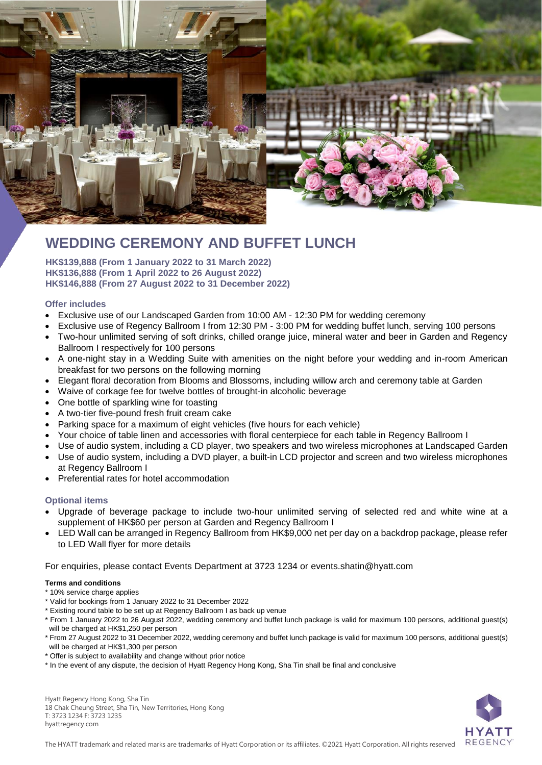

# **WEDDING CEREMONY AND BUFFET LUNCH**

**HK\$139,888 (From 1 January 2022 to 31 March 2022) HK\$136,888 (From 1 April 2022 to 26 August 2022) HK\$146,888 (From 27 August 2022 to 31 December 2022)**

#### **Offer includes**

- Exclusive use of our Landscaped Garden from 10:00 AM 12:30 PM for wedding ceremony
- Exclusive use of Regency Ballroom I from 12:30 PM 3:00 PM for wedding buffet lunch, serving 100 persons
- Two-hour unlimited serving of soft drinks, chilled orange juice, mineral water and beer in Garden and Regency Ballroom I respectively for 100 persons
- A one-night stay in a Wedding Suite with amenities on the night before your wedding and in-room American breakfast for two persons on the following morning
- Elegant floral decoration from Blooms and Blossoms, including willow arch and ceremony table at Garden
- Waive of corkage fee for twelve bottles of brought-in alcoholic beverage
- One bottle of sparkling wine for toasting
- A two-tier five-pound fresh fruit cream cake
- Parking space for a maximum of eight vehicles (five hours for each vehicle)
- Your choice of table linen and accessories with floral centerpiece for each table in Regency Ballroom I
- Use of audio system, including a CD player, two speakers and two wireless microphones at Landscaped Garden
- Use of audio system, including a DVD player, a built-in LCD projector and screen and two wireless microphones at Regency Ballroom I
- Preferential rates for hotel accommodation

#### **Optional items**

- Upgrade of beverage package to include two-hour unlimited serving of selected red and white wine at a supplement of HK\$60 per person at Garden and Regency Ballroom I
- LED Wall can be arranged in Regency Ballroom from HK\$9,000 net per day on a backdrop package, please refer to LED Wall flyer for more details

For enquiries, please contact Events Department at 3723 1234 or [events.shatin@hyatt.com](mailto:events.shatin@hyatt.com)

#### **Terms and conditions**

- \* 10% service charge applies
- \* Valid for bookings from 1 January 2022 to 31 December 2022
- \* Existing round table to be set up at Regency Ballroom I as back up venue
- \* From 1 January 2022 to 26 August 2022, wedding ceremony and buffet lunch package is valid for maximum 100 persons, additional guest(s) will be charged at HK\$1,250 per person
- \* From 27 August 2022 to 31 December 2022, wedding ceremony and buffet lunch package is valid for maximum 100 persons, additional guest(s) will be charged at HK\$1,300 per person
- \* Offer is subject to availability and change without prior notice
- \* In the event of any dispute, the decision of Hyatt Regency Hong Kong, Sha Tin shall be final and conclusive

Hyatt Regency Hong Kong, Sha Tin 18 Chak Cheung Street, Sha Tin, New Territories, Hong Kong T: 3723 1234 F: 3723 1235 hyattregency.com